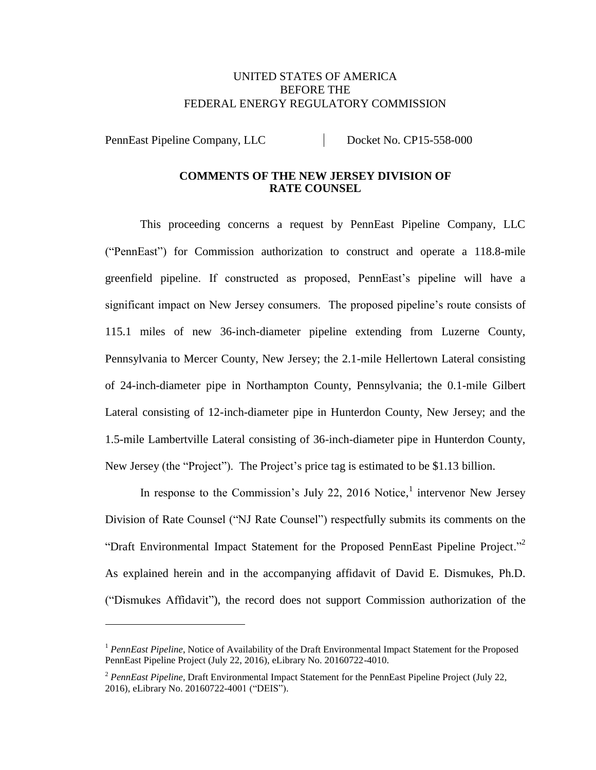## UNITED STATES OF AMERICA BEFORE THE FEDERAL ENERGY REGULATORY COMMISSION

PennEast Pipeline Company, LLC Docket No. CP15-558-000

#### **COMMENTS OF THE NEW JERSEY DIVISION OF RATE COUNSEL**

This proceeding concerns a request by PennEast Pipeline Company, LLC ("PennEast") for Commission authorization to construct and operate a 118.8-mile greenfield pipeline. If constructed as proposed, PennEast's pipeline will have a significant impact on New Jersey consumers. The proposed pipeline's route consists of 115.1 miles of new 36-inch-diameter pipeline extending from Luzerne County, Pennsylvania to Mercer County, New Jersey; the 2.1-mile Hellertown Lateral consisting of 24-inch-diameter pipe in Northampton County, Pennsylvania; the 0.1-mile Gilbert Lateral consisting of 12-inch-diameter pipe in Hunterdon County, New Jersey; and the 1.5-mile Lambertville Lateral consisting of 36-inch-diameter pipe in Hunterdon County, New Jersey (the "Project"). The Project's price tag is estimated to be \$1.13 billion.

In response to the Commission's July 22, 2016 Notice,<sup>1</sup> intervenor New Jersey Division of Rate Counsel ("NJ Rate Counsel") respectfully submits its comments on the "Draft Environmental Impact Statement for the Proposed PennEast Pipeline Project."<sup>2</sup> As explained herein and in the accompanying affidavit of David E. Dismukes, Ph.D. ("Dismukes Affidavit"), the record does not support Commission authorization of the

<sup>&</sup>lt;sup>1</sup> *PennEast Pipeline*, Notice of Availability of the Draft Environmental Impact Statement for the Proposed PennEast Pipeline Project (July 22, 2016), eLibrary No. 20160722-4010.

<sup>2</sup> *PennEast Pipeline*, Draft Environmental Impact Statement for the PennEast Pipeline Project (July 22, 2016), eLibrary No. 20160722-4001 ("DEIS").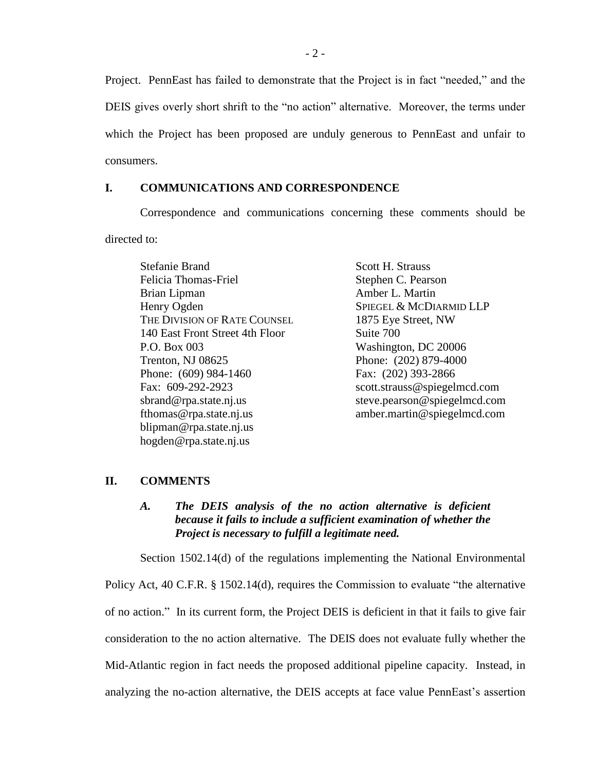Project. PennEast has failed to demonstrate that the Project is in fact "needed," and the DEIS gives overly short shrift to the "no action" alternative. Moreover, the terms under which the Project has been proposed are unduly generous to PennEast and unfair to consumers.

#### **I. COMMUNICATIONS AND CORRESPONDENCE**

Correspondence and communications concerning these comments should be directed to:

Stefanie Brand Felicia Thomas-Friel Brian Lipman Henry Ogden THE DIVISION OF RATE COUNSEL 140 East Front Street 4th Floor P.O. Box 003 Trenton, NJ 08625 Phone: (609) 984-1460 Fax: 609-292-2923 sbrand@rpa.state.nj.us fthomas@rpa.state.nj.us blipman@rpa.state.nj.us hogden@rpa.state.nj.us

Scott H. Strauss Stephen C. Pearson Amber L. Martin SPIEGEL & MCDIARMID LLP 1875 Eye Street, NW Suite 700 Washington, DC 20006 Phone: (202) 879-4000 Fax: (202) 393-2866 scott.strauss@spiegelmcd.com steve.pearson@spiegelmcd.com amber.martin@spiegelmcd.com

## **II. COMMENTS**

#### *A. The DEIS analysis of the no action alternative is deficient because it fails to include a sufficient examination of whether the Project is necessary to fulfill a legitimate need.*

Section 1502.14(d) of the regulations implementing the National Environmental Policy Act, 40 C.F.R. § 1502.14(d), requires the Commission to evaluate "the alternative of no action." In its current form, the Project DEIS is deficient in that it fails to give fair consideration to the no action alternative. The DEIS does not evaluate fully whether the Mid-Atlantic region in fact needs the proposed additional pipeline capacity. Instead, in analyzing the no-action alternative, the DEIS accepts at face value PennEast's assertion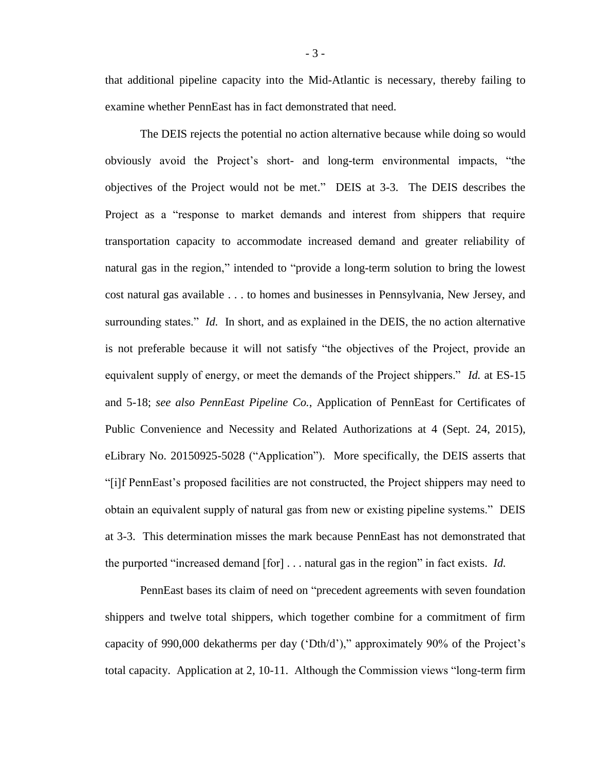that additional pipeline capacity into the Mid-Atlantic is necessary, thereby failing to examine whether PennEast has in fact demonstrated that need.

The DEIS rejects the potential no action alternative because while doing so would obviously avoid the Project's short- and long-term environmental impacts, "the objectives of the Project would not be met." DEIS at 3-3. The DEIS describes the Project as a "response to market demands and interest from shippers that require transportation capacity to accommodate increased demand and greater reliability of natural gas in the region," intended to "provide a long-term solution to bring the lowest cost natural gas available . . . to homes and businesses in Pennsylvania, New Jersey, and surrounding states." *Id.* In short, and as explained in the DEIS, the no action alternative is not preferable because it will not satisfy "the objectives of the Project, provide an equivalent supply of energy, or meet the demands of the Project shippers." *Id.* at ES-15 and 5-18; *see also PennEast Pipeline Co.*, Application of PennEast for Certificates of Public Convenience and Necessity and Related Authorizations at 4 (Sept. 24, 2015), eLibrary No. 20150925-5028 ("Application"). More specifically, the DEIS asserts that "[i]f PennEast's proposed facilities are not constructed, the Project shippers may need to obtain an equivalent supply of natural gas from new or existing pipeline systems." DEIS at 3-3. This determination misses the mark because PennEast has not demonstrated that the purported "increased demand [for] . . . natural gas in the region" in fact exists. *Id.*

PennEast bases its claim of need on "precedent agreements with seven foundation shippers and twelve total shippers, which together combine for a commitment of firm capacity of 990,000 dekatherms per day ('Dth/d')," approximately 90% of the Project's total capacity. Application at 2, 10-11. Although the Commission views "long-term firm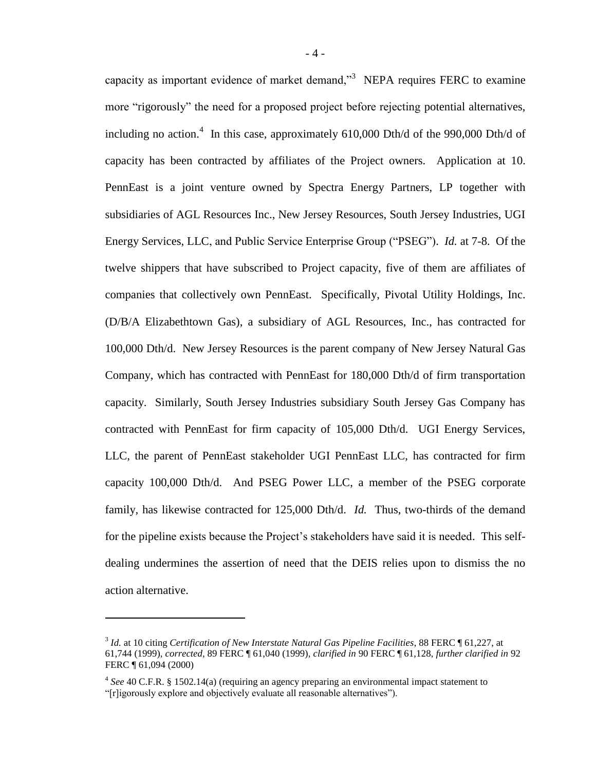capacity as important evidence of market demand,"<sup>3</sup> NEPA requires FERC to examine more "rigorously" the need for a proposed project before rejecting potential alternatives, including no action. 4 In this case, approximately 610,000 Dth/d of the 990,000 Dth/d of capacity has been contracted by affiliates of the Project owners. Application at 10. PennEast is a joint venture owned by Spectra Energy Partners, LP together with subsidiaries of AGL Resources Inc., New Jersey Resources, South Jersey Industries, UGI Energy Services, LLC, and Public Service Enterprise Group ("PSEG"). *Id.* at 7-8. Of the twelve shippers that have subscribed to Project capacity, five of them are affiliates of companies that collectively own PennEast. Specifically, Pivotal Utility Holdings, Inc. (D/B/A Elizabethtown Gas), a subsidiary of AGL Resources, Inc., has contracted for 100,000 Dth/d. New Jersey Resources is the parent company of New Jersey Natural Gas Company, which has contracted with PennEast for 180,000 Dth/d of firm transportation capacity. Similarly, South Jersey Industries subsidiary South Jersey Gas Company has contracted with PennEast for firm capacity of 105,000 Dth/d. UGI Energy Services, LLC, the parent of PennEast stakeholder UGI PennEast LLC, has contracted for firm capacity 100,000 Dth/d. And PSEG Power LLC, a member of the PSEG corporate family, has likewise contracted for 125,000 Dth/d. *Id.* Thus, two-thirds of the demand for the pipeline exists because the Project's stakeholders have said it is needed. This selfdealing undermines the assertion of need that the DEIS relies upon to dismiss the no action alternative.

<sup>3</sup> *Id.* at 10 citing *Certification of New Interstate Natural Gas Pipeline Facilities*, 88 FERC ¶ 61,227, at 61,744 (1999), *corrected*, 89 FERC ¶ 61,040 (1999), *clarified in* 90 FERC ¶ 61,128, *further clarified in* 92 FERC ¶ 61,094 (2000)

<sup>4</sup> *See* 40 C.F.R. § 1502.14(a) (requiring an agency preparing an environmental impact statement to "[r]igorously explore and objectively evaluate all reasonable alternatives").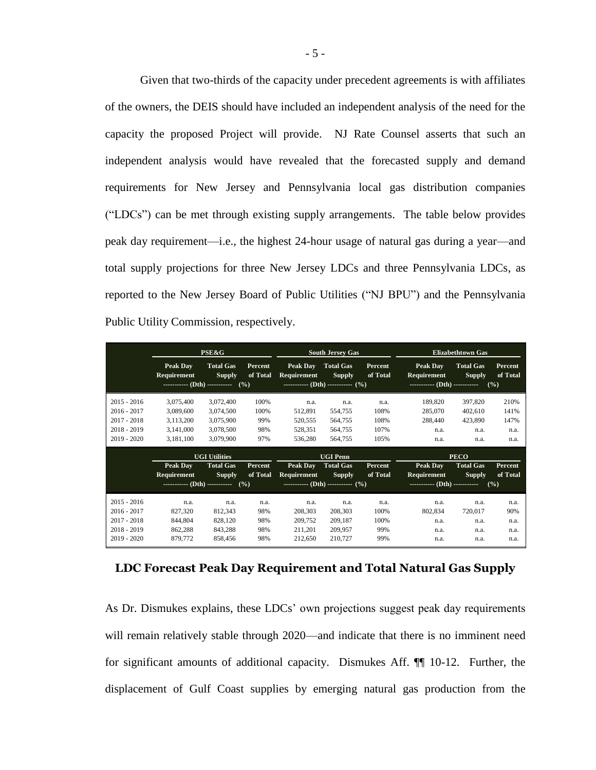Given that two-thirds of the capacity under precedent agreements is with affiliates of the owners, the DEIS should have included an independent analysis of the need for the capacity the proposed Project will provide. NJ Rate Counsel asserts that such an independent analysis would have revealed that the forecasted supply and demand requirements for New Jersey and Pennsylvania local gas distribution companies ("LDCs") can be met through existing supply arrangements. The table below provides peak day requirement—i.e., the highest 24-hour usage of natural gas during a year—and total supply projections for three New Jersey LDCs and three Pennsylvania LDCs, as reported to the New Jersey Board of Public Utilities ("NJ BPU") and the Pennsylvania Public Utility Commission, respectively.

|                                                                                   | <b>PSE&amp;G</b>                                              |                                                                  |                                    | <b>South Jersey Gas</b>                                          |                                                  |                                      | <b>Elizabethtown Gas</b>                      |                                               |                                      |
|-----------------------------------------------------------------------------------|---------------------------------------------------------------|------------------------------------------------------------------|------------------------------------|------------------------------------------------------------------|--------------------------------------------------|--------------------------------------|-----------------------------------------------|-----------------------------------------------|--------------------------------------|
|                                                                                   | <b>Peak Dav</b><br>Requirement                                | <b>Total Gas</b><br><b>Supply</b><br>$\cdots$ (Dth) $\cdots$ (%) | Percent<br>of Total                | Peak Day<br>Requirement<br>----------- (Dth) ----------- $(\% )$ | <b>Total Gas</b><br><b>Supply</b>                | Percent<br>of Total                  | Peak Day<br>Requirement                       | <b>Total Gas</b><br><b>Supply</b>             | <b>Percent</b><br>of Total<br>(%)    |
| $2015 - 2016$<br>$2016 - 2017$<br>$2017 - 2018$<br>$2018 - 2019$<br>$2019 - 2020$ | 3,075,400<br>3,089,600<br>3,113,200<br>3,141,000<br>3,181,100 | 3,072,400<br>3,074,500<br>3,075,900<br>3,078,500<br>3,079,900    | 100%<br>100%<br>99%<br>98%<br>97%  | n.a.<br>512,891<br>520,555<br>528,351<br>536,280                 | n.a.<br>554,755<br>564,755<br>564,755<br>564,755 | n.a.<br>108%<br>108%<br>107%<br>105% | 189,820<br>285,070<br>288,440<br>n.a.<br>n.a. | 397,820<br>402,610<br>423,890<br>n.a.<br>n.a. | 210%<br>141%<br>147%<br>n.a.<br>n.a. |
|                                                                                   | <b>UGI Utilities</b>                                          |                                                                  |                                    | <b>UGI Penn</b>                                                  |                                                  |                                      | <b>PECO</b>                                   |                                               |                                      |
|                                                                                   | Peak Dav<br>Requirement                                       | <b>Total Gas</b><br><b>Supply</b>                                | Percent<br>of Total                | Peak Day<br>Requirement                                          | <b>Total Gas</b><br><b>Supply</b>                | Percent<br>of Total                  | Peak Day<br>Requirement                       | <b>Total Gas</b><br><b>Supply</b>             | Percent<br>of Total                  |
|                                                                                   | (9/0)                                                         |                                                                  | ------------ (Dth) ----------- (%) |                                                                  | ----------- (Dth) -----------<br>(%)             |                                      |                                               |                                               |                                      |
|                                                                                   |                                                               |                                                                  |                                    |                                                                  |                                                  |                                      |                                               |                                               |                                      |
| $2015 - 2016$<br>$2016 - 2017$<br>$2017 - 2018$                                   | n.a.<br>827,320<br>844,804                                    | n.a.<br>812,343<br>828,120                                       | n.a.<br>98%<br>98%                 | n.a.<br>208,303<br>209,752                                       | n.a.<br>208,303<br>209,187                       | n.a.<br>100%<br>100%                 | n.a.<br>802,834<br>n.a.                       | n.a.<br>720,017<br>n.a.                       | n.a.<br>90%<br>n.a.                  |

## **LDC Forecast Peak Day Requirement and Total Natural Gas Supply**

As Dr. Dismukes explains, these LDCs' own projections suggest peak day requirements will remain relatively stable through 2020—and indicate that there is no imminent need for significant amounts of additional capacity. Dismukes Aff. ¶¶ 10-12. Further, the displacement of Gulf Coast supplies by emerging natural gas production from the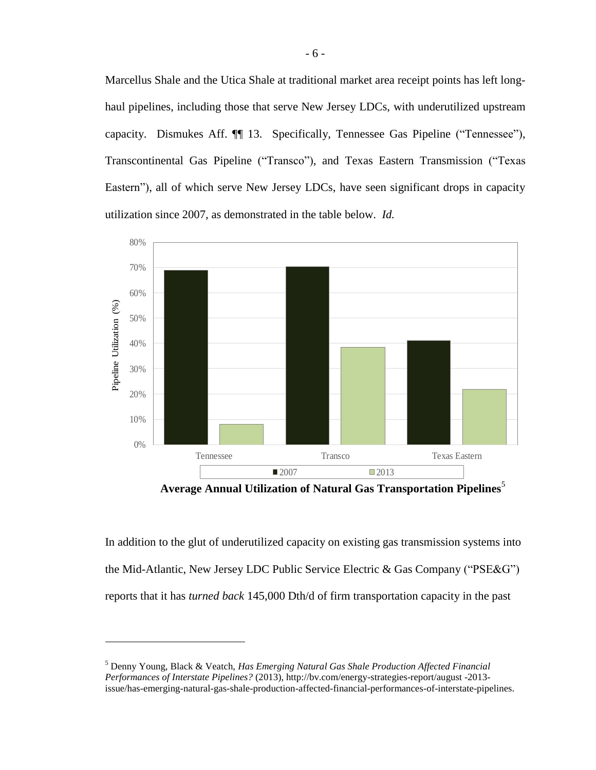Marcellus Shale and the Utica Shale at traditional market area receipt points has left longhaul pipelines, including those that serve New Jersey LDCs, with underutilized upstream capacity. Dismukes Aff. ¶¶ 13. Specifically, Tennessee Gas Pipeline ("Tennessee"), Transcontinental Gas Pipeline ("Transco"), and Texas Eastern Transmission ("Texas Eastern"), all of which serve New Jersey LDCs, have seen significant drops in capacity utilization since 2007, as demonstrated in the table below. *Id.*



**Average Annual Utilization of Natural Gas Transportation Pipelines**<sup>5</sup>

In addition to the glut of underutilized capacity on existing gas transmission systems into the Mid-Atlantic, New Jersey LDC Public Service Electric & Gas Company ("PSE&G") reports that it has *turned back* 145,000 Dth/d of firm transportation capacity in the past

<sup>5</sup> Denny Young, Black & Veatch, *Has Emerging Natural Gas Shale Production Affected Financial Performances of Interstate Pipelines?* (2013), http://bv.com/energy-strategies-report/august -2013 issue/has-emerging-natural-gas-shale-production-affected-financial-performances-of-interstate-pipelines.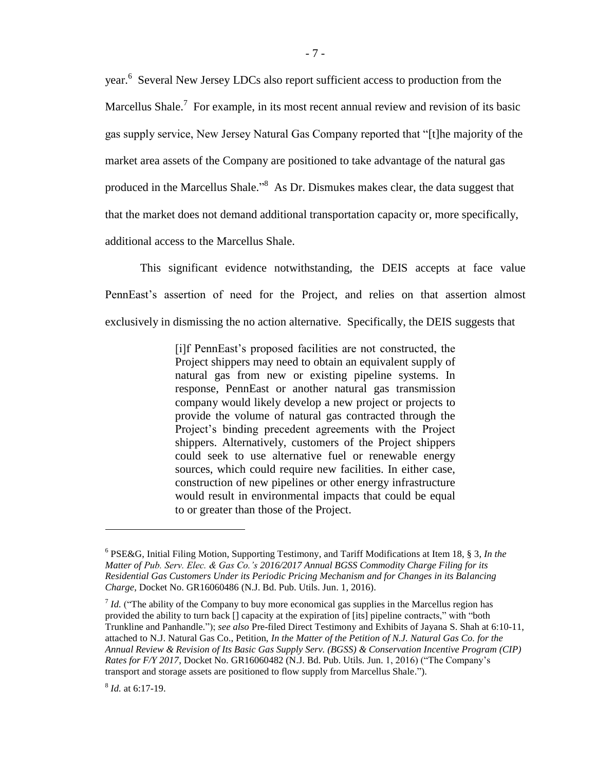year.<sup>6</sup> Several New Jersey LDCs also report sufficient access to production from the Marcellus Shale.<sup>7</sup> For example, in its most recent annual review and revision of its basic gas supply service, New Jersey Natural Gas Company reported that "[t]he majority of the market area assets of the Company are positioned to take advantage of the natural gas produced in the Marcellus Shale."<sup>8</sup> As Dr. Dismukes makes clear, the data suggest that that the market does not demand additional transportation capacity or, more specifically, additional access to the Marcellus Shale.

This significant evidence notwithstanding, the DEIS accepts at face value PennEast's assertion of need for the Project, and relies on that assertion almost exclusively in dismissing the no action alternative. Specifically, the DEIS suggests that

> [i]f PennEast's proposed facilities are not constructed, the Project shippers may need to obtain an equivalent supply of natural gas from new or existing pipeline systems. In response, PennEast or another natural gas transmission company would likely develop a new project or projects to provide the volume of natural gas contracted through the Project's binding precedent agreements with the Project shippers. Alternatively, customers of the Project shippers could seek to use alternative fuel or renewable energy sources, which could require new facilities. In either case, construction of new pipelines or other energy infrastructure would result in environmental impacts that could be equal to or greater than those of the Project.

<sup>6</sup> PSE&G, Initial Filing Motion, Supporting Testimony, and Tariff Modifications at Item 18, § 3, *In the Matter of Pub. Serv. Elec. & Gas Co.'s 2016/2017 Annual BGSS Commodity Charge Filing for its Residential Gas Customers Under its Periodic Pricing Mechanism and for Changes in its Balancing Charge*, Docket No. GR16060486 (N.J. Bd. Pub. Utils. Jun. 1, 2016).

<sup>&</sup>lt;sup>7</sup> *Id.* ("The ability of the Company to buy more economical gas supplies in the Marcellus region has provided the ability to turn back [] capacity at the expiration of [its] pipeline contracts," with "both Trunkline and Panhandle."); *see also* Pre-filed Direct Testimony and Exhibits of Jayana S. Shah at 6:10-11, attached to N.J. Natural Gas Co., Petition, *In the Matter of the Petition of N.J. Natural Gas Co. for the Annual Review & Revision of Its Basic Gas Supply Serv. (BGSS) & Conservation Incentive Program (CIP) Rates for F/Y 2017*, Docket No. GR16060482 (N.J. Bd. Pub. Utils. Jun. 1, 2016) ("The Company's transport and storage assets are positioned to flow supply from Marcellus Shale.").

<sup>8</sup> *Id.* at 6:17-19.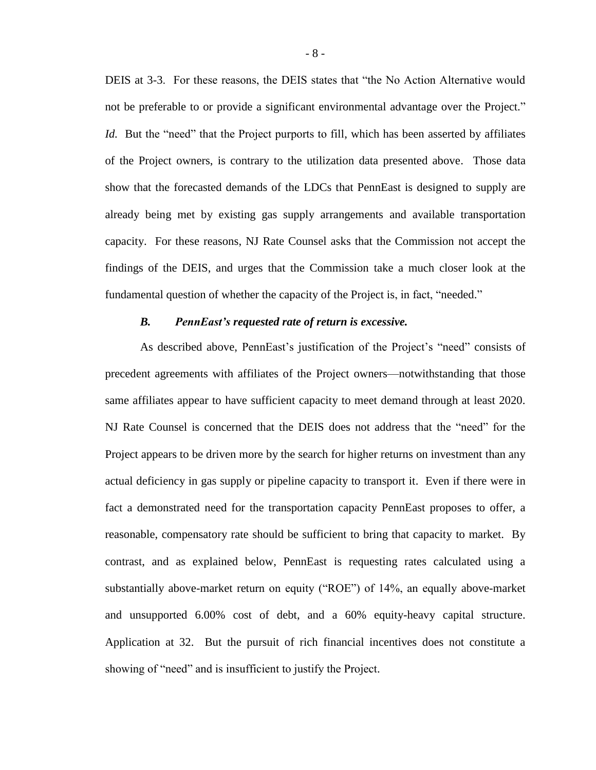DEIS at 3-3. For these reasons, the DEIS states that "the No Action Alternative would not be preferable to or provide a significant environmental advantage over the Project." *Id.* But the "need" that the Project purports to fill, which has been asserted by affiliates of the Project owners, is contrary to the utilization data presented above. Those data show that the forecasted demands of the LDCs that PennEast is designed to supply are already being met by existing gas supply arrangements and available transportation capacity. For these reasons, NJ Rate Counsel asks that the Commission not accept the findings of the DEIS, and urges that the Commission take a much closer look at the fundamental question of whether the capacity of the Project is, in fact, "needed."

#### *B. PennEast's requested rate of return is excessive.*

As described above, PennEast's justification of the Project's "need" consists of precedent agreements with affiliates of the Project owners—notwithstanding that those same affiliates appear to have sufficient capacity to meet demand through at least 2020. NJ Rate Counsel is concerned that the DEIS does not address that the "need" for the Project appears to be driven more by the search for higher returns on investment than any actual deficiency in gas supply or pipeline capacity to transport it. Even if there were in fact a demonstrated need for the transportation capacity PennEast proposes to offer, a reasonable, compensatory rate should be sufficient to bring that capacity to market. By contrast, and as explained below, PennEast is requesting rates calculated using a substantially above-market return on equity ("ROE") of 14%, an equally above-market and unsupported 6.00% cost of debt, and a 60% equity-heavy capital structure. Application at 32. But the pursuit of rich financial incentives does not constitute a showing of "need" and is insufficient to justify the Project.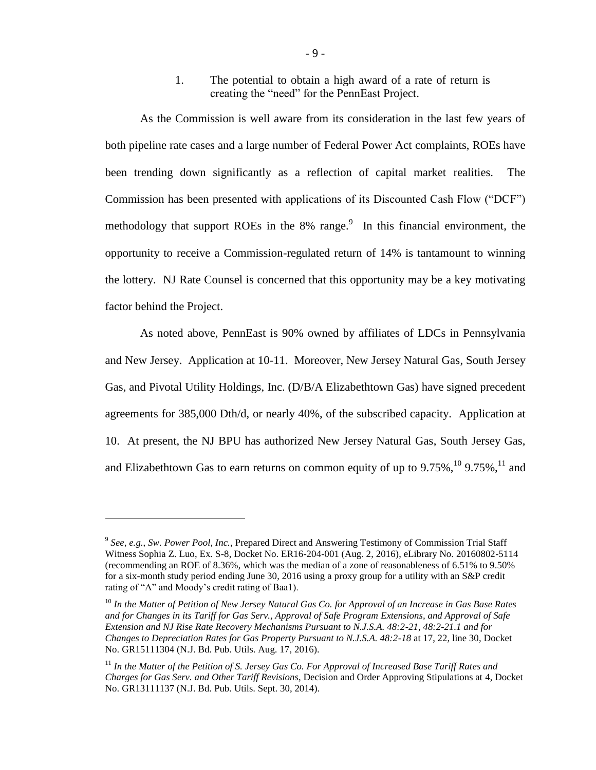1. The potential to obtain a high award of a rate of return is creating the "need" for the PennEast Project.

As the Commission is well aware from its consideration in the last few years of both pipeline rate cases and a large number of Federal Power Act complaints, ROEs have been trending down significantly as a reflection of capital market realities. The Commission has been presented with applications of its Discounted Cash Flow ("DCF") methodology that support ROEs in the 8% range.<sup>9</sup> In this financial environment, the opportunity to receive a Commission-regulated return of 14% is tantamount to winning the lottery. NJ Rate Counsel is concerned that this opportunity may be a key motivating factor behind the Project.

As noted above, PennEast is 90% owned by affiliates of LDCs in Pennsylvania and New Jersey. Application at 10-11. Moreover, New Jersey Natural Gas, South Jersey Gas, and Pivotal Utility Holdings, Inc. (D/B/A Elizabethtown Gas) have signed precedent agreements for 385,000 Dth/d, or nearly 40%, of the subscribed capacity. Application at 10. At present, the NJ BPU has authorized New Jersey Natural Gas, South Jersey Gas, and Elizabethtown Gas to earn returns on common equity of up to  $9.75\%$ ,  $^{10}$   $9.75\%$ ,  $^{11}$  and

<sup>9</sup> *See, e.g.*, *Sw. Power Pool, Inc.*, Prepared Direct and Answering Testimony of Commission Trial Staff Witness Sophia Z. Luo, Ex. S-8, Docket No. ER16-204-001 (Aug. 2, 2016), eLibrary No. 20160802-5114 (recommending an ROE of 8.36%, which was the median of a zone of reasonableness of 6.51% to 9.50% for a six-month study period ending June 30, 2016 using a proxy group for a utility with an S&P credit rating of "A" and Moody's credit rating of Baa1).

<sup>&</sup>lt;sup>10</sup> In the Matter of Petition of New Jersey Natural Gas Co. for Approval of an Increase in Gas Base Rates *and for Changes in its Tariff for Gas Serv., Approval of Safe Program Extensions, and Approval of Safe Extension and NJ Rise Rate Recovery Mechanisms Pursuant to N.J.S.A. 48:2-21, 48:2-21.1 and for Changes to Depreciation Rates for Gas Property Pursuant to N.J.S.A. 48:2-18* at 17, 22, line 30, Docket No. GR15111304 (N.J. Bd. Pub. Utils. Aug. 17, 2016).

<sup>&</sup>lt;sup>11</sup> In the Matter of the Petition of S. Jersey Gas Co. For Approval of Increased Base Tariff Rates and *Charges for Gas Serv. and Other Tariff Revisions*, Decision and Order Approving Stipulations at 4, Docket No. GR13111137 (N.J. Bd. Pub. Utils. Sept. 30, 2014).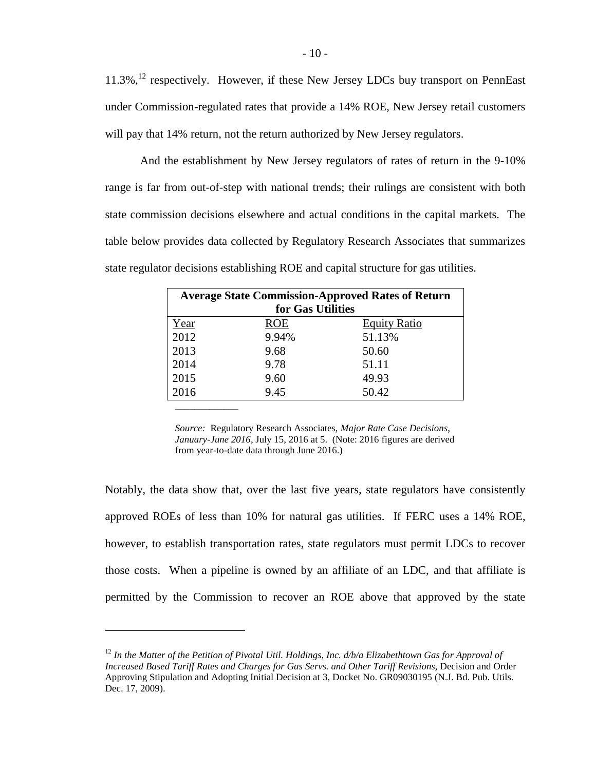11.3%,<sup>12</sup> respectively. However, if these New Jersey LDCs buy transport on PennEast under Commission-regulated rates that provide a 14% ROE, New Jersey retail customers will pay that 14% return, not the return authorized by New Jersey regulators.

And the establishment by New Jersey regulators of rates of return in the 9-10% range is far from out-of-step with national trends; their rulings are consistent with both state commission decisions elsewhere and actual conditions in the capital markets. The table below provides data collected by Regulatory Research Associates that summarizes state regulator decisions establishing ROE and capital structure for gas utilities.

| <b>Average State Commission-Approved Rates of Return</b><br>for Gas Utilities |            |                     |  |  |  |  |
|-------------------------------------------------------------------------------|------------|---------------------|--|--|--|--|
| Year                                                                          | <b>ROE</b> | <b>Equity Ratio</b> |  |  |  |  |
| 2012                                                                          | 9.94%      | 51.13%              |  |  |  |  |
| 2013                                                                          | 9.68       | 50.60               |  |  |  |  |
| 2014                                                                          | 9.78       | 51.11               |  |  |  |  |
| 2015                                                                          | 9.60       | 49.93               |  |  |  |  |
| 2016                                                                          | 9.45       | 50.42               |  |  |  |  |
|                                                                               |            |                     |  |  |  |  |

*Source:* Regulatory Research Associates, *Major Rate Case Decisions, January-June 2016,* July 15, 2016 at 5. (Note: 2016 figures are derived from year-to-date data through June 2016.)

Notably, the data show that, over the last five years, state regulators have consistently approved ROEs of less than 10% for natural gas utilities. If FERC uses a 14% ROE, however, to establish transportation rates, state regulators must permit LDCs to recover those costs. When a pipeline is owned by an affiliate of an LDC, and that affiliate is permitted by the Commission to recover an ROE above that approved by the state

<sup>&</sup>lt;sup>12</sup> In the Matter of the Petition of Pivotal Util. Holdings, Inc.  $d/b/a$  Elizabethtown Gas for Approval of *Increased Based Tariff Rates and Charges for Gas Servs. and Other Tariff Revisions*, Decision and Order Approving Stipulation and Adopting Initial Decision at 3, Docket No. GR09030195 (N.J. Bd. Pub. Utils. Dec. 17, 2009).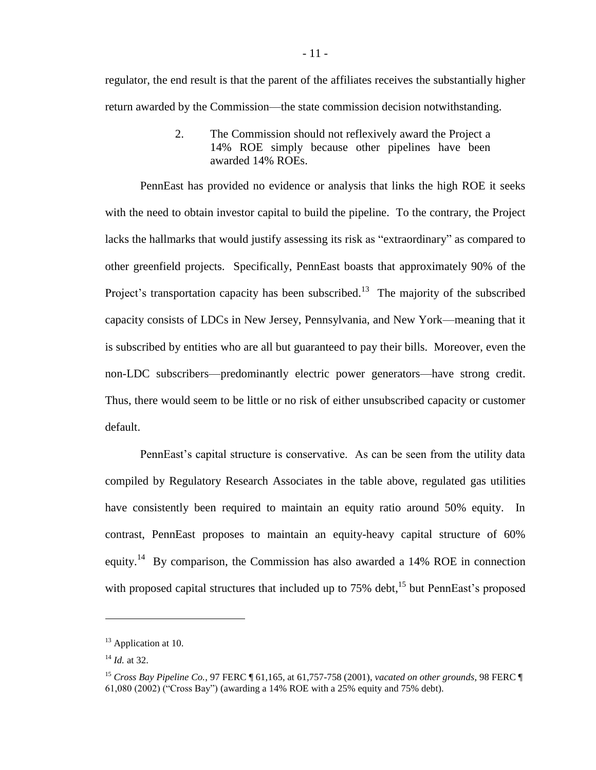regulator, the end result is that the parent of the affiliates receives the substantially higher return awarded by the Commission—the state commission decision notwithstanding.

> 2. The Commission should not reflexively award the Project a 14% ROE simply because other pipelines have been awarded 14% ROEs.

PennEast has provided no evidence or analysis that links the high ROE it seeks with the need to obtain investor capital to build the pipeline. To the contrary, the Project lacks the hallmarks that would justify assessing its risk as "extraordinary" as compared to other greenfield projects. Specifically, PennEast boasts that approximately 90% of the Project's transportation capacity has been subscribed.<sup>13</sup> The majority of the subscribed capacity consists of LDCs in New Jersey, Pennsylvania, and New York—meaning that it is subscribed by entities who are all but guaranteed to pay their bills. Moreover, even the non-LDC subscribers—predominantly electric power generators—have strong credit. Thus, there would seem to be little or no risk of either unsubscribed capacity or customer default.

PennEast's capital structure is conservative. As can be seen from the utility data compiled by Regulatory Research Associates in the table above, regulated gas utilities have consistently been required to maintain an equity ratio around 50% equity. In contrast, PennEast proposes to maintain an equity-heavy capital structure of 60% equity.<sup>14</sup> By comparison, the Commission has also awarded a 14% ROE in connection with proposed capital structures that included up to 75% debt,<sup>15</sup> but PennEast's proposed

<sup>&</sup>lt;sup>13</sup> Application at 10.

<sup>14</sup> *Id.* at 32.

<sup>15</sup> *Cross Bay Pipeline Co.*, 97 FERC ¶ 61,165, at 61,757-758 (2001), *vacated on other grounds*, 98 FERC ¶ 61,080 (2002) ("Cross Bay") (awarding a 14% ROE with a 25% equity and 75% debt).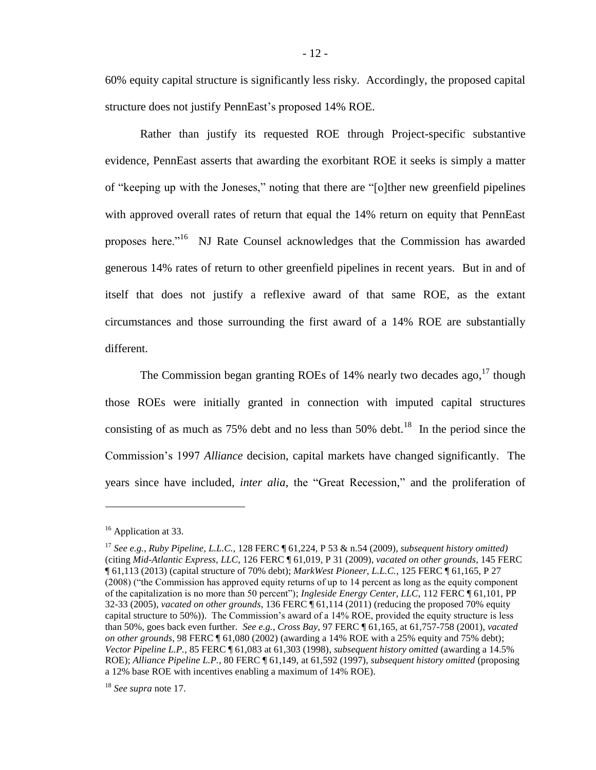60% equity capital structure is significantly less risky. Accordingly, the proposed capital structure does not justify PennEast's proposed 14% ROE.

Rather than justify its requested ROE through Project-specific substantive evidence, PennEast asserts that awarding the exorbitant ROE it seeks is simply a matter of "keeping up with the Joneses," noting that there are "[o]ther new greenfield pipelines with approved overall rates of return that equal the 14% return on equity that PennEast proposes here."<sup>16</sup> NJ Rate Counsel acknowledges that the Commission has awarded generous 14% rates of return to other greenfield pipelines in recent years. But in and of itself that does not justify a reflexive award of that same ROE, as the extant circumstances and those surrounding the first award of a 14% ROE are substantially different.

<span id="page-11-0"></span>The Commission began granting ROEs of  $14%$  nearly two decades ago,  $17$  though those ROEs were initially granted in connection with imputed capital structures consisting of as much as  $75\%$  debt and no less than  $50\%$  debt.<sup>18</sup> In the period since the Commission's 1997 *Alliance* decision, capital markets have changed significantly. The years since have included, *inter alia*, the "Great Recession," and the proliferation of

<sup>&</sup>lt;sup>16</sup> Application at 33.

<sup>17</sup> *See e.g.*, *Ruby Pipeline, L.L.C.*, 128 FERC ¶ 61,224, P 53 & n.54 (2009), *subsequent history omitted)* (citing *Mid-Atlantic Express, LLC*, 126 FERC ¶ 61,019, P 31 (2009), *vacated on other grounds*, 145 FERC ¶ 61,113 (2013) (capital structure of 70% debt); *MarkWest Pioneer, L.L.C.*, 125 FERC ¶ 61,165, P 27 (2008) ("the Commission has approved equity returns of up to 14 percent as long as the equity component of the capitalization is no more than 50 percent"); *Ingleside Energy Center, LLC*, 112 FERC ¶ 61,101, PP 32-33 (2005), *vacated on other grounds*, 136 FERC ¶ 61,114 (2011) (reducing the proposed 70% equity capital structure to 50%)). The Commission's award of a 14% ROE, provided the equity structure is less than 50%, goes back even further. *See e.g.*, *Cross Bay*, 97 FERC ¶ 61,165, at 61,757-758 (2001), *vacated on other grounds*, 98 FERC ¶ 61,080 (2002) (awarding a 14% ROE with a 25% equity and 75% debt); *Vector Pipeline L.P.*, 85 FERC ¶ 61,083 at 61,303 (1998), *subsequent history omitted* (awarding a 14.5% ROE); *Alliance Pipeline L.P.*, 80 FERC ¶ 61,149, at 61,592 (1997), *subsequent history omitted* (proposing a 12% base ROE with incentives enabling a maximum of 14% ROE).

<sup>18</sup> *See supra* note [17.](#page-11-0)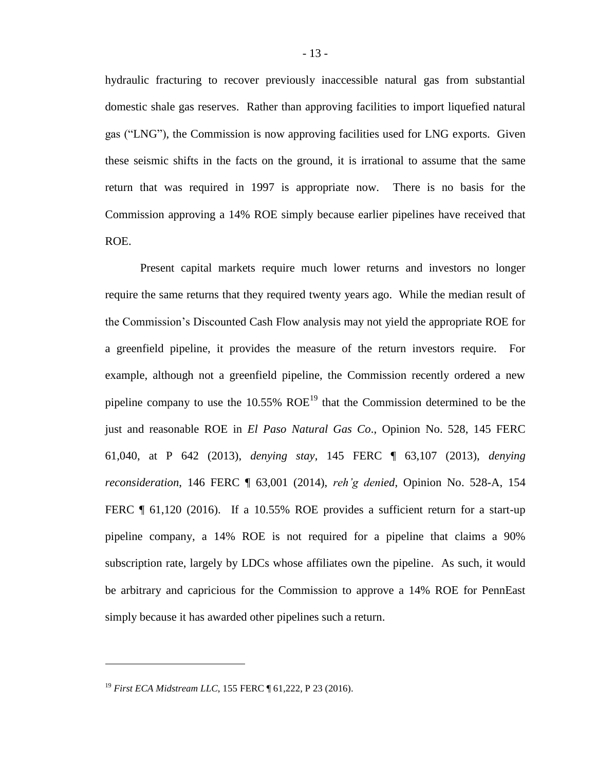hydraulic fracturing to recover previously inaccessible natural gas from substantial domestic shale gas reserves. Rather than approving facilities to import liquefied natural gas ("LNG"), the Commission is now approving facilities used for LNG exports. Given these seismic shifts in the facts on the ground, it is irrational to assume that the same return that was required in 1997 is appropriate now. There is no basis for the Commission approving a 14% ROE simply because earlier pipelines have received that ROE.

Present capital markets require much lower returns and investors no longer require the same returns that they required twenty years ago. While the median result of the Commission's Discounted Cash Flow analysis may not yield the appropriate ROE for a greenfield pipeline, it provides the measure of the return investors require. For example, although not a greenfield pipeline, the Commission recently ordered a new pipeline company to use the  $10.55\%$  ROE<sup>19</sup> that the Commission determined to be the just and reasonable ROE in *El Paso Natural Gas Co*., Opinion No. 528, 145 FERC 61,040, at P 642 (2013), *denying stay*, 145 FERC ¶ 63,107 (2013), *denying reconsideration*, 146 FERC ¶ 63,001 (2014), *reh'g denied*, Opinion No. 528-A, 154 FERC ¶ 61,120 (2016). If a 10.55% ROE provides a sufficient return for a start-up pipeline company, a 14% ROE is not required for a pipeline that claims a 90% subscription rate, largely by LDCs whose affiliates own the pipeline. As such, it would be arbitrary and capricious for the Commission to approve a 14% ROE for PennEast simply because it has awarded other pipelines such a return.

<sup>19</sup> *First ECA Midstream LLC*, 155 FERC ¶ 61,222, P 23 (2016).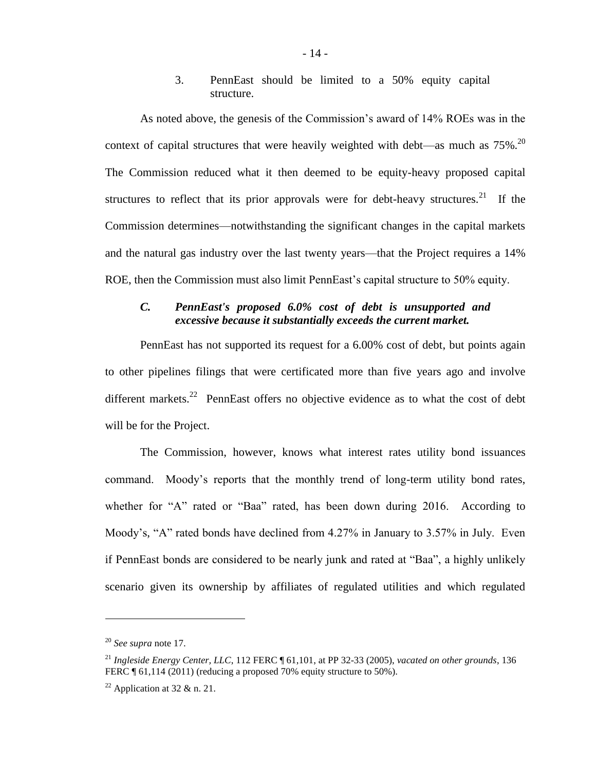3. PennEast should be limited to a 50% equity capital structure.

As noted above, the genesis of the Commission's award of 14% ROEs was in the context of capital structures that were heavily weighted with debt—as much as  $75\%$ .<sup>20</sup> The Commission reduced what it then deemed to be equity-heavy proposed capital structures to reflect that its prior approvals were for debt-heavy structures.<sup>21</sup> If the Commission determines—notwithstanding the significant changes in the capital markets and the natural gas industry over the last twenty years—that the Project requires a 14% ROE, then the Commission must also limit PennEast's capital structure to 50% equity.

## *C. PennEast's proposed 6.0% cost of debt is unsupported and excessive because it substantially exceeds the current market.*

PennEast has not supported its request for a 6.00% cost of debt, but points again to other pipelines filings that were certificated more than five years ago and involve different markets.<sup>22</sup> PennEast offers no objective evidence as to what the cost of debt will be for the Project.

The Commission, however, knows what interest rates utility bond issuances command. Moody's reports that the monthly trend of long-term utility bond rates, whether for "A" rated or "Baa" rated, has been down during 2016. According to Moody's, "A" rated bonds have declined from 4.27% in January to 3.57% in July. Even if PennEast bonds are considered to be nearly junk and rated at "Baa", a highly unlikely scenario given its ownership by affiliates of regulated utilities and which regulated

<sup>20</sup> *See supra* note [17.](#page-11-0)

<sup>21</sup> *Ingleside Energy Center, LLC*, 112 FERC ¶ 61,101, at PP 32-33 (2005), *vacated on other grounds*, 136 FERC ¶ 61,114 (2011) (reducing a proposed 70% equity structure to 50%).

<sup>&</sup>lt;sup>22</sup> Application at 32 & n. 21.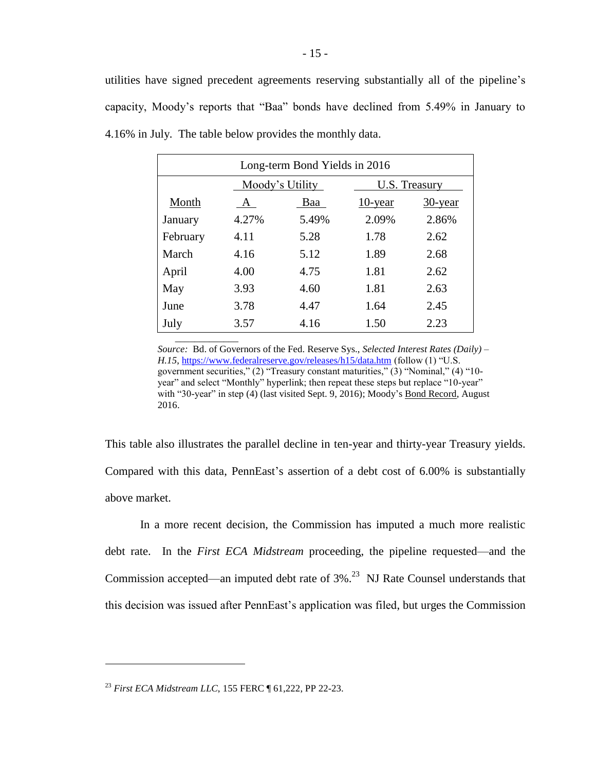utilities have signed precedent agreements reserving substantially all of the pipeline's capacity, Moody's reports that "Baa" bonds have declined from 5.49% in January to 4.16% in July. The table below provides the monthly data.

| Long-term Bond Yields in 2016 |       |                 |            |               |  |  |  |
|-------------------------------|-------|-----------------|------------|---------------|--|--|--|
|                               |       | Moody's Utility |            | U.S. Treasury |  |  |  |
| Month                         | A     | Baa             | $10$ -year | $30$ -year    |  |  |  |
| January                       | 4.27% | 5.49%           | 2.09%      | 2.86%         |  |  |  |
| February                      | 4.11  | 5.28            | 1.78       | 2.62          |  |  |  |
| March                         | 4.16  | 5.12            | 1.89       | 2.68          |  |  |  |
| April                         | 4.00  | 4.75            | 1.81       | 2.62          |  |  |  |
| May                           | 3.93  | 4.60            | 1.81       | 2.63          |  |  |  |
| June                          | 3.78  | 4.47            | 1.64       | 2.45          |  |  |  |
| July                          | 3.57  | 4.16            | 1.50       | 2.23          |  |  |  |
|                               |       |                 |            |               |  |  |  |

*Source:* Bd. of Governors of the Fed. Reserve Sys., *Selected Interest Rates (Daily) – H.15*[, https://www.federalreserve.gov/releases/h15/data.htm](https://www.federalreserve.gov/releases/h15/data.htm) (follow (1) "U.S. government securities," (2) "Treasury constant maturities," (3) "Nominal," (4) "10 year" and select "Monthly" hyperlink; then repeat these steps but replace "10-year" with "30-year" in step (4) (last visited Sept. 9, 2016); Moody's Bond Record, August 2016.

This table also illustrates the parallel decline in ten-year and thirty-year Treasury yields. Compared with this data, PennEast's assertion of a debt cost of 6.00% is substantially above market.

In a more recent decision, the Commission has imputed a much more realistic debt rate. In the *First ECA Midstream* proceeding, the pipeline requested—and the Commission accepted—an imputed debt rate of  $3\%$ <sup>23</sup> NJ Rate Counsel understands that this decision was issued after PennEast's application was filed, but urges the Commission

<sup>23</sup> *First ECA Midstream LLC*, 155 FERC ¶ 61,222, PP 22-23.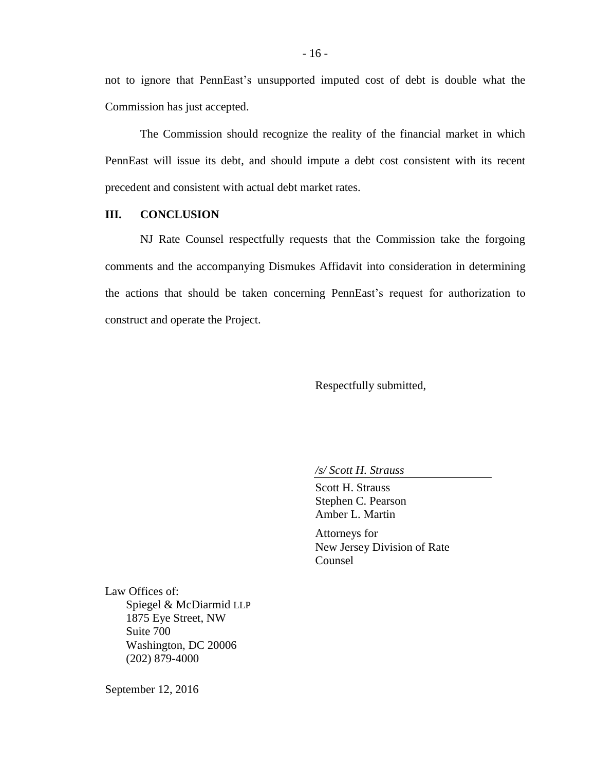not to ignore that PennEast's unsupported imputed cost of debt is double what the Commission has just accepted.

The Commission should recognize the reality of the financial market in which PennEast will issue its debt, and should impute a debt cost consistent with its recent precedent and consistent with actual debt market rates.

## **III. CONCLUSION**

NJ Rate Counsel respectfully requests that the Commission take the forgoing comments and the accompanying Dismukes Affidavit into consideration in determining the actions that should be taken concerning PennEast's request for authorization to construct and operate the Project.

Respectfully submitted,

*/s/ Scott H. Strauss*

Scott H. Strauss Stephen C. Pearson Amber L. Martin

Attorneys for New Jersey Division of Rate Counsel

Law Offices of: Spiegel & McDiarmid LLP 1875 Eye Street, NW Suite 700 Washington, DC 20006 (202) 879-4000

September 12, 2016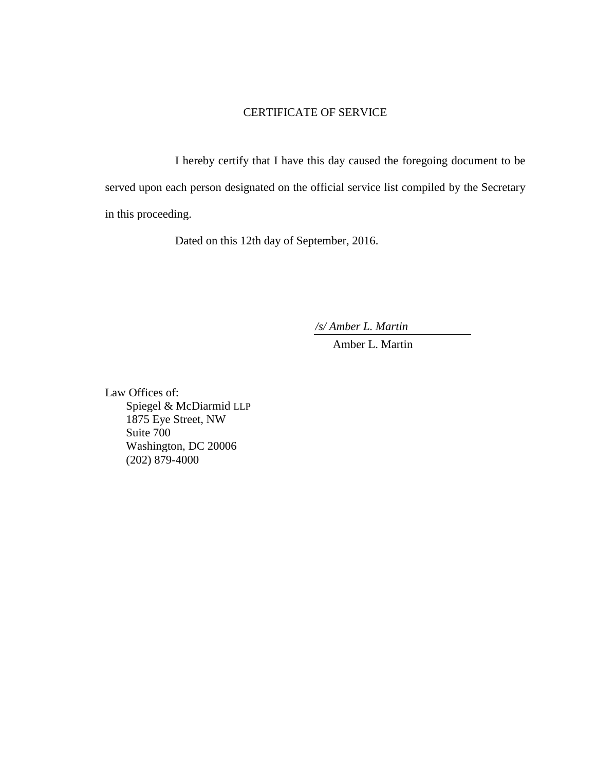#### CERTIFICATE OF SERVICE

I hereby certify that I have this day caused the foregoing document to be served upon each person designated on the official service list compiled by the Secretary in this proceeding.

Dated on this 12th day of September, 2016.

*/s/ Amber L. Martin*

Amber L. Martin

Law Offices of: Spiegel & McDiarmid LLP 1875 Eye Street, NW Suite 700 Washington, DC 20006 (202) 879-4000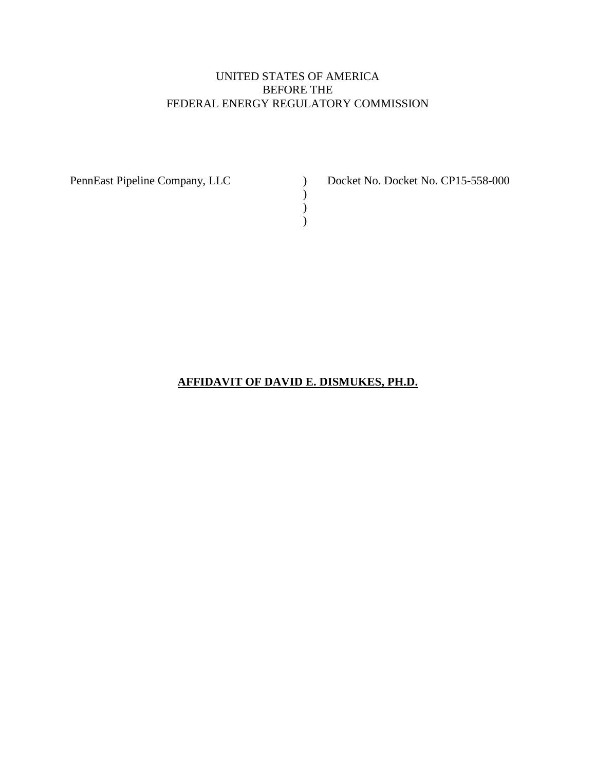## UNITED STATES OF AMERICA BEFORE THE FEDERAL ENERGY REGULATORY COMMISSION

) ) )

PennEast Pipeline Company, LLC ) Docket No. Docket No. CP15-558-000

**AFFIDAVIT OF DAVID E. DISMUKES, PH.D.**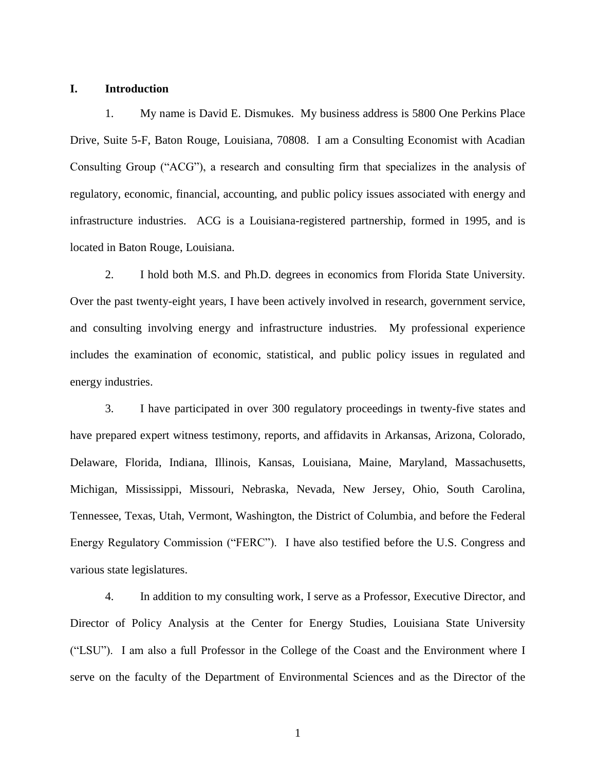#### **I. Introduction**

1. My name is David E. Dismukes. My business address is 5800 One Perkins Place Drive, Suite 5-F, Baton Rouge, Louisiana, 70808. I am a Consulting Economist with Acadian Consulting Group ("ACG"), a research and consulting firm that specializes in the analysis of regulatory, economic, financial, accounting, and public policy issues associated with energy and infrastructure industries. ACG is a Louisiana-registered partnership, formed in 1995, and is located in Baton Rouge, Louisiana.

2. I hold both M.S. and Ph.D. degrees in economics from Florida State University. Over the past twenty-eight years, I have been actively involved in research, government service, and consulting involving energy and infrastructure industries. My professional experience includes the examination of economic, statistical, and public policy issues in regulated and energy industries.

3. I have participated in over 300 regulatory proceedings in twenty-five states and have prepared expert witness testimony, reports, and affidavits in Arkansas, Arizona, Colorado, Delaware, Florida, Indiana, Illinois, Kansas, Louisiana, Maine, Maryland, Massachusetts, Michigan, Mississippi, Missouri, Nebraska, Nevada, New Jersey, Ohio, South Carolina, Tennessee, Texas, Utah, Vermont, Washington, the District of Columbia, and before the Federal Energy Regulatory Commission ("FERC"). I have also testified before the U.S. Congress and various state legislatures.

4. In addition to my consulting work, I serve as a Professor, Executive Director, and Director of Policy Analysis at the Center for Energy Studies, Louisiana State University ("LSU"). I am also a full Professor in the College of the Coast and the Environment where I serve on the faculty of the Department of Environmental Sciences and as the Director of the

1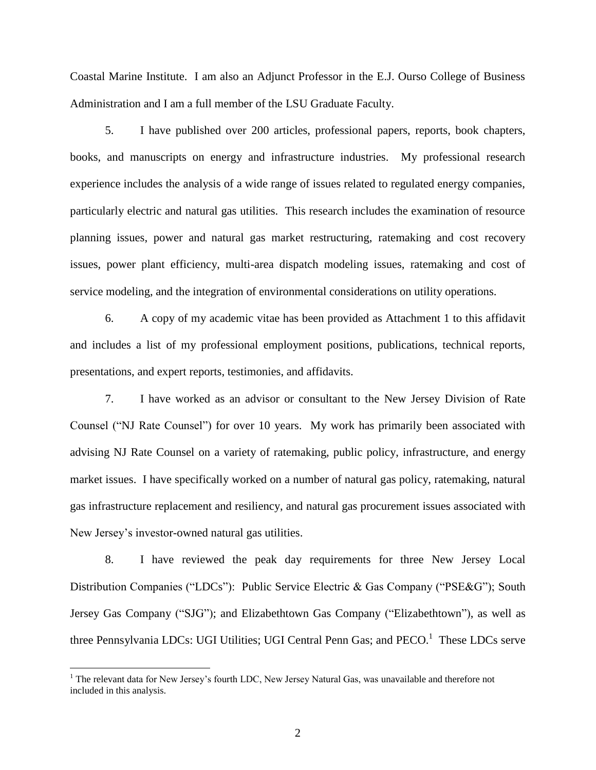Coastal Marine Institute. I am also an Adjunct Professor in the E.J. Ourso College of Business Administration and I am a full member of the LSU Graduate Faculty.

5. I have published over 200 articles, professional papers, reports, book chapters, books, and manuscripts on energy and infrastructure industries. My professional research experience includes the analysis of a wide range of issues related to regulated energy companies, particularly electric and natural gas utilities. This research includes the examination of resource planning issues, power and natural gas market restructuring, ratemaking and cost recovery issues, power plant efficiency, multi-area dispatch modeling issues, ratemaking and cost of service modeling, and the integration of environmental considerations on utility operations.

6. A copy of my academic vitae has been provided as Attachment 1 to this affidavit and includes a list of my professional employment positions, publications, technical reports, presentations, and expert reports, testimonies, and affidavits.

7. I have worked as an advisor or consultant to the New Jersey Division of Rate Counsel ("NJ Rate Counsel") for over 10 years. My work has primarily been associated with advising NJ Rate Counsel on a variety of ratemaking, public policy, infrastructure, and energy market issues. I have specifically worked on a number of natural gas policy, ratemaking, natural gas infrastructure replacement and resiliency, and natural gas procurement issues associated with New Jersey's investor-owned natural gas utilities.

8. I have reviewed the peak day requirements for three New Jersey Local Distribution Companies ("LDCs"): Public Service Electric & Gas Company ("PSE&G"); South Jersey Gas Company ("SJG"); and Elizabethtown Gas Company ("Elizabethtown"), as well as three Pennsylvania LDCs: UGI Utilities; UGI Central Penn Gas; and PECO.<sup>1</sup> These LDCs serve

<sup>&</sup>lt;sup>1</sup> The relevant data for New Jersey's fourth LDC, New Jersey Natural Gas, was unavailable and therefore not included in this analysis.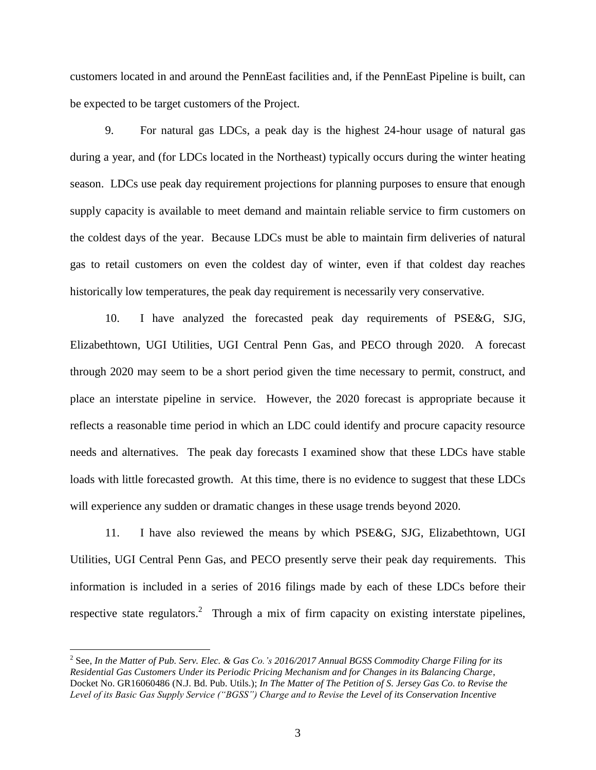customers located in and around the PennEast facilities and, if the PennEast Pipeline is built, can be expected to be target customers of the Project.

9. For natural gas LDCs, a peak day is the highest 24-hour usage of natural gas during a year, and (for LDCs located in the Northeast) typically occurs during the winter heating season. LDCs use peak day requirement projections for planning purposes to ensure that enough supply capacity is available to meet demand and maintain reliable service to firm customers on the coldest days of the year. Because LDCs must be able to maintain firm deliveries of natural gas to retail customers on even the coldest day of winter, even if that coldest day reaches historically low temperatures, the peak day requirement is necessarily very conservative.

10. I have analyzed the forecasted peak day requirements of PSE&G, SJG, Elizabethtown, UGI Utilities, UGI Central Penn Gas, and PECO through 2020. A forecast through 2020 may seem to be a short period given the time necessary to permit, construct, and place an interstate pipeline in service. However, the 2020 forecast is appropriate because it reflects a reasonable time period in which an LDC could identify and procure capacity resource needs and alternatives. The peak day forecasts I examined show that these LDCs have stable loads with little forecasted growth. At this time, there is no evidence to suggest that these LDCs will experience any sudden or dramatic changes in these usage trends beyond 2020.

11. I have also reviewed the means by which PSE&G, SJG, Elizabethtown, UGI Utilities, UGI Central Penn Gas, and PECO presently serve their peak day requirements. This information is included in a series of 2016 filings made by each of these LDCs before their respective state regulators.<sup>2</sup> Through a mix of firm capacity on existing interstate pipelines,

<sup>2</sup> See, *In the Matter of Pub. Serv. Elec. & Gas Co.'s 2016/2017 Annual BGSS Commodity Charge Filing for its Residential Gas Customers Under its Periodic Pricing Mechanism and for Changes in its Balancing Charge*, Docket No. GR16060486 (N.J. Bd. Pub. Utils.); *In The Matter of The Petition of S. Jersey Gas Co. to Revise the Level of its Basic Gas Supply Service ("BGSS") Charge and to Revise the Level of its Conservation Incentive*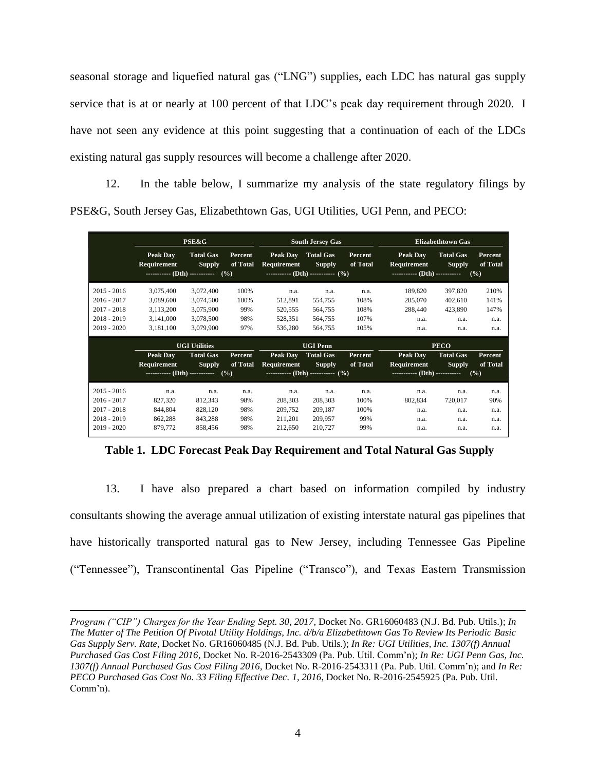seasonal storage and liquefied natural gas ("LNG") supplies, each LDC has natural gas supply service that is at or nearly at 100 percent of that LDC's peak day requirement through 2020. I have not seen any evidence at this point suggesting that a continuation of each of the LDCs existing natural gas supply resources will become a challenge after 2020.

12. In the table below, I summarize my analysis of the state regulatory filings by PSE&G, South Jersey Gas, Elizabethtown Gas, UGI Utilities, UGI Penn, and PECO:

|               | <b>PSE&amp;G</b>                                    |                                   |                                   | <b>South Jersey Gas</b>                                  |                                      |                     | <b>Elizabethtown Gas</b>                                               |                                   |                            |
|---------------|-----------------------------------------------------|-----------------------------------|-----------------------------------|----------------------------------------------------------|--------------------------------------|---------------------|------------------------------------------------------------------------|-----------------------------------|----------------------------|
|               | <b>Peak Dav</b><br>Requirement<br>(Dth) ----------- | <b>Total Gas</b><br><b>Supply</b> | <b>Percent</b><br>of Total<br>(%) | Peak Day<br>Requirement<br>$\cdots$ (Dth) ---------- (%) | <b>Total Gas</b><br><b>Supply</b>    | Percent<br>of Total | <b>Peak Day</b><br><b>Requirement</b><br>----------- (Dth) ----------- | <b>Total Gas</b><br><b>Supply</b> | Percent<br>of Total<br>(%) |
| $2015 - 2016$ | 3,075,400                                           | 3,072,400                         | 100%                              | n.a.                                                     | n.a.                                 | n.a.                | 189,820                                                                | 397,820                           | 210%                       |
| $2016 - 2017$ | 3,089,600                                           | 3,074,500                         | 100%                              | 512,891                                                  | 554,755                              | 108%                | 285,070                                                                | 402,610                           | 141%                       |
| $2017 - 2018$ | 3,113,200                                           | 3,075,900                         | 99%                               | 520,555                                                  | 564,755                              | 108%                | 288,440                                                                | 423,890                           | 147%                       |
| $2018 - 2019$ | 3,141,000                                           | 3,078,500                         | 98%                               | 528,351                                                  | 564,755                              | 107%                | n.a.                                                                   | n.a.                              | n.a.                       |
| 2019 - 2020   | 3,181,100                                           | 3,079,900                         | 97%                               | 536,280                                                  | 564,755                              | 105%                | n.a.                                                                   | n.a.                              | n.a.                       |
|               | <b>UGI Utilities</b>                                |                                   |                                   | <b>UGI Penn</b>                                          |                                      |                     | <b>PECO</b>                                                            |                                   |                            |
|               | <b>Peak Dav</b>                                     | <b>Total Gas</b>                  | Percent                           | Peak Day                                                 | <b>Total Gas</b>                     | Percent             | <b>Peak Day</b>                                                        | <b>Total Gas</b>                  | Percent                    |
|               | Requirement                                         | <b>Supply</b>                     | of Total                          | Requirement                                              | <b>Supply</b>                        | of Total            | Requirement                                                            | <b>Supply</b>                     | of Total                   |
|               | ----------- (Dth) ----------- $(\frac{9}{6})$       |                                   | $\cdots$ (Dth) ---------- (%)     |                                                          | ----------- (Dth) -----------<br>(%) |                     |                                                                        |                                   |                            |
| $2015 - 2016$ | n.a.                                                | n.a.                              | n.a.                              | n.a.                                                     | n.a.                                 | n.a.                | n.a.                                                                   | n.a.                              | n.a.                       |
| $2016 - 2017$ | 827,320                                             | 812,343                           | 98%                               | 208,303                                                  | 208,303                              | 100%                | 802,834                                                                | 720,017                           | 90%                        |
| $2017 - 2018$ | 844,804                                             | 828,120                           | 98%                               | 209,752                                                  | 209,187                              | 100%                | n.a.                                                                   | n.a.                              | n.a.                       |
| $2018 - 2019$ | 862,288                                             | 843,288                           | 98%                               | 211,201                                                  | 209,957                              | 99%                 | n.a.                                                                   | n.a.                              | n.a.                       |
| $2019 - 2020$ | 879,772                                             | 858,456                           | 98%                               | 212,650                                                  | 210.727                              | 99%                 | n.a.                                                                   | n.a.                              | n.a.                       |

**Table 1. LDC Forecast Peak Day Requirement and Total Natural Gas Supply**

13. I have also prepared a chart based on information compiled by industry consultants showing the average annual utilization of existing interstate natural gas pipelines that have historically transported natural gas to New Jersey, including Tennessee Gas Pipeline ("Tennessee"), Transcontinental Gas Pipeline ("Transco"), and Texas Eastern Transmission

*Program ("CIP") Charges for the Year Ending Sept. 30, 2017*, Docket No. GR16060483 (N.J. Bd. Pub. Utils.); *In The Matter of The Petition Of Pivotal Utility Holdings, Inc. d/b/a Elizabethtown Gas To Review Its Periodic Basic Gas Supply Serv. Rate*, Docket No. GR16060485 (N.J. Bd. Pub. Utils.); *In Re: UGI Utilities, Inc. 1307(f) Annual Purchased Gas Cost Filing 2016*, Docket No. R-2016-2543309 (Pa. Pub. Util. Comm'n); *In Re: UGI Penn Gas, Inc. 1307(f) Annual Purchased Gas Cost Filing 2016*, Docket No. R-2016-2543311 (Pa. Pub. Util. Comm'n); and *In Re: PECO Purchased Gas Cost No. 33 Filing Effective Dec. 1, 2016*, Docket No. R-2016-2545925 (Pa. Pub. Util. Comm'n).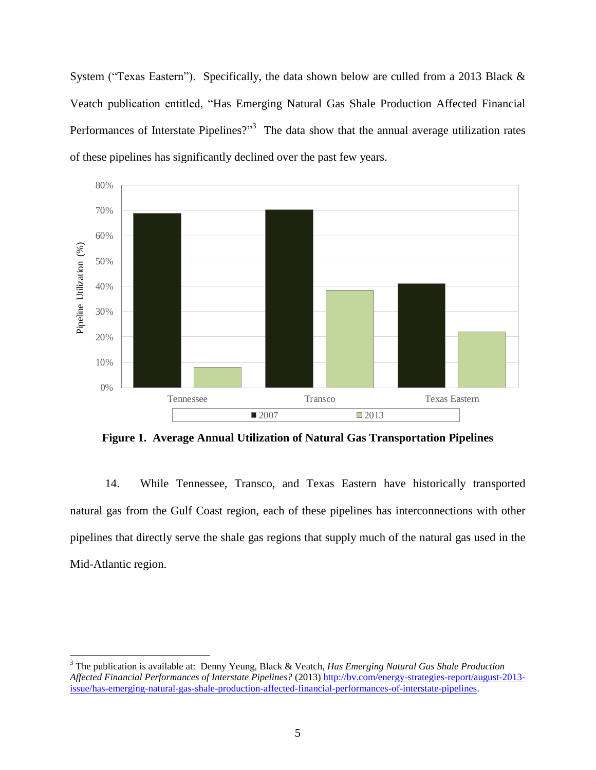System ("Texas Eastern"). Specifically, the data shown below are culled from a 2013 Black & Veatch publication entitled, "Has Emerging Natural Gas Shale Production Affected Financial Performances of Interstate Pipelines? $1^{3}$  The data show that the annual average utilization rates of these pipelines has significantly declined over the past few years.



**Figure 1. Average Annual Utilization of Natural Gas Transportation Pipelines**

14. While Tennessee, Transco, and Texas Eastern have historically transported natural gas from the Gulf Coast region, each of these pipelines has interconnections with other pipelines that directly serve the shale gas regions that supply much of the natural gas used in the Mid-Atlantic region.

<sup>3</sup> The publication is available at: Denny Yeung, Black & Veatch, *Has Emerging Natural Gas Shale Production Affected Financial Performances of Interstate Pipelines?* (2013) [http://bv.com/energy-strategies-report/august-2013](http://bv.com/energy-strategies-report/august-2013-issue/has-emerging-natural-gas-shale-production-affected-financial-performances-of-interstate-pipelines) [issue/has-emerging-natural-gas-shale-production-affected-financial-performances-of-interstate-pipelines.](http://bv.com/energy-strategies-report/august-2013-issue/has-emerging-natural-gas-shale-production-affected-financial-performances-of-interstate-pipelines)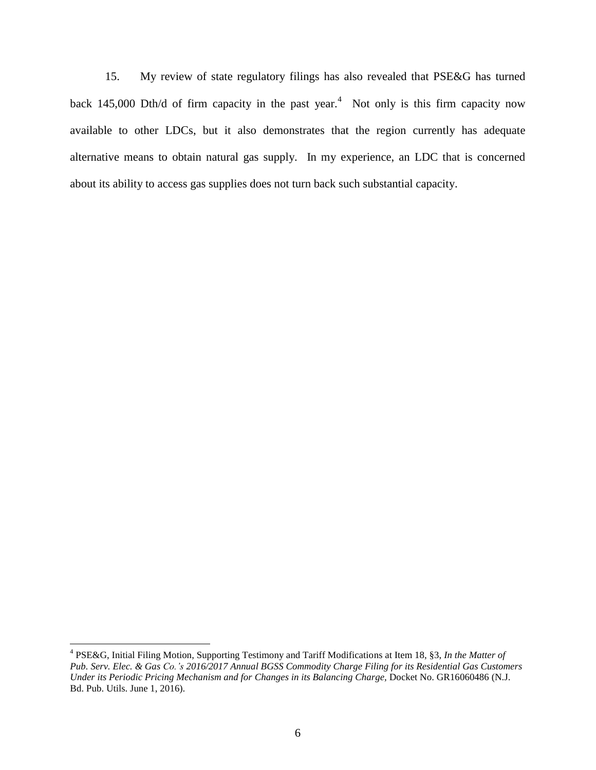15. My review of state regulatory filings has also revealed that PSE&G has turned back 145,000 Dth/d of firm capacity in the past year.<sup>4</sup> Not only is this firm capacity now available to other LDCs, but it also demonstrates that the region currently has adequate alternative means to obtain natural gas supply. In my experience, an LDC that is concerned about its ability to access gas supplies does not turn back such substantial capacity.

<sup>4</sup> PSE&G, Initial Filing Motion, Supporting Testimony and Tariff Modifications at Item 18, §3, *In the Matter of Pub. Serv. Elec. & Gas Co.'s 2016/2017 Annual BGSS Commodity Charge Filing for its Residential Gas Customers Under its Periodic Pricing Mechanism and for Changes in its Balancing Charge,* Docket No. GR16060486 (N.J. Bd. Pub. Utils. June 1, 2016).